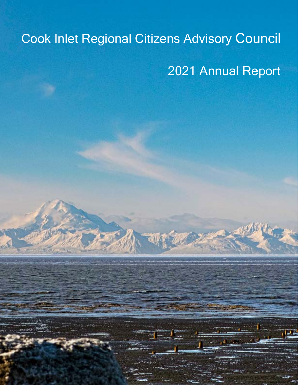# Cook Inlet Regional Citizens Advisory Council 2021 Annual Report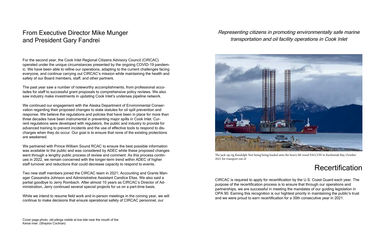### From Executive Director Mike Munger and President Gary Fandrei

For the second year, the Cook Inlet Regional Citizens Advisory Council (CIRCAC) operated under the unique circumstances presented by the ongoing COVID-19 pandemic. We have been able to refine our operations, adapting to the current challenges facing everyone, and continue carrying out CIRCAC's mission while maintaining the health and safety of our Board members, staff, and other partners.

The past year saw a number of noteworthy accomplishments, from professional accolades for staff to successful grant proposals to comprehensive policy reviews. We also saw industry make investments in updating Cook Inlet's undersea pipeline network.

We continued our engagement with the Alaska Department of Environmental Conservation regarding their proposed changes to state statutes for oil spill prevention and response. We believe the regulations and policies that have been in place for more than three decades have been instrumental in preventing major spills in Cook Inlet. Current regulations were developed with regulators, the public and industry to provide for advanced training to prevent incidents and the use of effective tools to respond to discharges when they do occur. Our goal is to ensure that none of the existing protections are weakened.

We partnered with Prince William Sound RCAC to ensure the best possible information was available to the public and was considered by ADEC while these proposed changes went through a lengthy public process of review and comment. As this process continues in 2022, we remain concerned with the longer-term trend within ADEC of higher staff turnover and reductions that could decrease capacity to respond to events.

Two new staff members joined the CIRCAC team in 2021; Accounting and Grants Manager Cassandra Johnson and Administrative Assistant Candice Elias. We also said a partial goodbye to Jerry Rombach. After almost 10 years as CIRCAC's Director of Administration, Jerry continued several special projects for us on a part-time basis.

While we intend to resume field work and in-person meetings in the coming year, we will continue to make decisions that ensure operational safety of CIRCAC personnel, our

#### Representing citizens in promoting environmentally safe marine transportation and oil facility operations in Cook Inlet

The jack-up rig Randolph Yost being being loaded onto the heavy lift vessel FALCON in Kachemak Bay, October

### **Recertification**



2021 for transport out of

CIRCAC is required to apply for recertification by the U.S. Coast Guard each year. The purpose of the recertification process is to ensure that through our operations and partnerships, we are successful in meeting the mandates of our guiding legislation in OPA 90. Earning this recognition is our hightest priority in maintaining the public's trust and we were proud to earn recertification for a 30th consecutive year in 2021.

Cover page photo: old pilings visible at low tide near the mouth of the Kenai river. (Shaylon Cochran)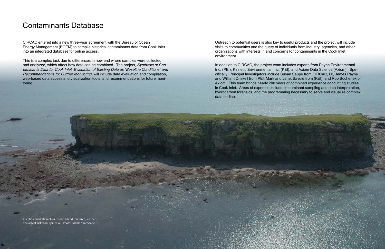CIRCAC entered into a new three-year agreement with the Bureau of Ocean Energy Management (BOEM) to compile historical contaminants data from Cook Inlet into an integrated database for online access.

This is a complex task due to differences in how and where samples were collected and analyzed, which affect how data can be combined. The project, Synthesis of Contaminants Data for Cook Inlet: Evaluation of Existing Data as "Baseline Conditions" and Recommendations for Further Monitoring, will include data evaluation and compilation, web-based data access and visualization tools, and recommendations for future monitoring.

### Contaminants Database

In addition to CIRCAC, the project team includes experts from Payne Environmental Inc. (PEI), Kinnetic Environmental, Inc. (KEI), and Axiom Data Science (Axiom). Specifically, Principal Investigators include Susan Saupe from CIRCAC, Dr, James Payne and William Driskell from PEI, Mark and Janet Savoie from (KEI), and Rob Bochenek of Axiom. This team brings nearly 200 years of combined experience conducting studies in Cook Inlet. Areas of expertise include contaminant sampling and data interpretation, hydrocarbon forensics, and the programming necessary to serve and visualize complex data on-line.

Outreach to potential users is also key to useful products and the project will include visits to communities and the query of individuals from industry, agencies, and other organizations with interests in and concerns for contaminants in the Cook Inlet environment.

Intertidal habitats such as Iniskin Island (pictured) are particularly at risk from spilled oil. Photo: Alaska ShoreZone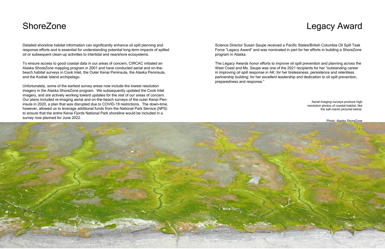Aerial imaging surveys produce high resolution photos of coastal habitat, like the salt marsh pictured below.

Photo: Alaska ShoreZone

### **ShoreZone**

Detailed shoreline habitat information can significantly enhance oil spill planning and response efforts and is essential for understanding potential long-term impacts of spilled oil or subsequent clean-up activities to intertidal and nearshore ecosystems.

To ensure access to good coastal data in our areas of concern, CIRCAC initiated an Alaska ShoreZone mapping program in 2001 and have conducted aerial and on-thebeach habitat surveys in Cook Inlet, the Outer Kenai Peninsula, the Alaska Peninsula, and the Kodiak Island archipelago.

Unfortunately, some of the earliest survey areas now include the lowest resolution imagery in the Alaska ShoreZone program. We subsequently updated the Cook Inlet imagery, and are actively working toward updates for the rest of our areas of concern. Our plans included re-imaging aerial and on-the-beach surveys of the outer Kenai Peninsula in 2020, a plan that was disrupted due to COVID-19 restrictions. The down-time, however, allowed us to leverage additional funds from the National Park Service (NPS) to ensure that the entire Kenai Fjords National Park shoreline would be included in a survey now planned for June 2022.

Science Director Susan Saupe received a Pacific States/British Columbia Oil Spill Task Force "Legacy Award" and was nominated in part for her efforts in building a ShoreZone program in Alaska.

The Legacy Awards honor efforts to improve oil spill prevention and planning across the West Coast and Ms. Saupe was one of the 2021 recipients for her "outstanding career in improving oil spill response in AK; for her tirelessness, persistence and relentless partnership building; for her excellent leadership and dedication to oil spill prevention, preparedness and response."



### Legacy Award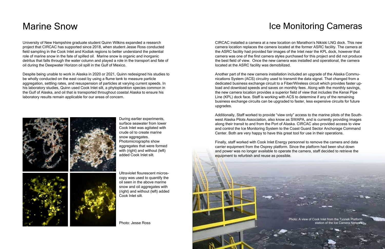### Marine Snow

University of New Hampshire graduate student Quinn Wilkins expanded a research project that CIRCAC has supported since 2018, when student Jesse Ross conducted field sampling in the Cook Inlet and Kodiak regions to better understand the potential role of marine snow in the fate of spilled oil. Marine snow is organic and inorganic detritus that falls through the water column and played a role in the transport and fate of oil during the Deepwater Horizon oil spill in the Gulf of Mexico.

Despite being unable to work in Alaska in 2020 or 2021, Quinn redesigned his studies to be wholly conducted on the east coast by using a flume tank to measure particle aggregation, settling rates, and resuspension of particles at varying current speeds. In his laboratory studies, Quinn used Cook Inlet silt, a phytoplankton species common in the Gulf of Alaska, and oil that is transported throughout coastal Alaska to ensure his laboratory results remain applicable for our areas of concern.



### Ice Monitoring Cameras

Photo: A view of Cook Inlet from the Tyonek Platform station of the Ice Camera N

CIRCAC installed a camera at a new location on Marathon's Nikiski LNG dock. This new camera location replaces the camera located at the former ASRC facility. The camera at the ASRC facility had provided fair images of the Inlet near the KPL dock, however that camera was one of the first camera styles purchased for this project and did not produce the best field of view. Once the new camera was installed and operational, the camera located at the ASRC facility was demobilized.

Another part of the new camera installation included an upgrade of the Alaska Communications System (ACS) circuitry used to transmit the data signal. That changed from a dedicated business exchange circuit to a Fiber/Wireless circuit which provides faster upload and download speeds and saves on monthly fees. Along with the monthly savings, the new camera location provides a superior field of view that includes the Kenai Pipe Line (KPL) dock face. Staff is working with ACS to determine if any of the remaining business exchange circuits can be upgraded to faster, less expensive circuits for future upgrades.

Additionally, Staff worked to provide "view only" access to the marine pilots of the Southwest Alaska Pilots Association, also know as SWAPA, and is currently providing images along their transit to and from the Port of Alaska. CIRCAC also provided access to view and control the Ice Monitoring System to the Coast Guard Sector Anchorage Command Center. Both are very happy to have this great tool for use in their operations.

Finally, staff worked with Cook Inlet Energy personnel to remove the camera and data carrier equipment from the Osprey platform. Since the platform had been shut down and power was no longer available to operate the camera, staff decided to retrieve the equipment to refurbish and reuse as possible.

During earlier experiments, surface seawater from lower Cook Inlet was agitated with crude oil to create marine snow aggregates. Photomicrographs show aggregates that were formed with (right) and without (left) added Cook Inlet silt.

Ultraviolet flourescent microscopy was used to quantify the oil seen in the above marine snow and oil aggregates with (right) and without (left) added Cook Inlet silt.

Photo: Jesse Ross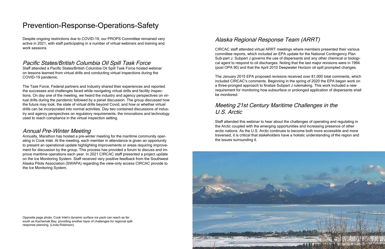Despite ongoing restrictions due to COVID-19, our PROPS Committee remained very active in 2021, with staff participating in a number of virtual webinars and training and work sessions.

#### Pacific States/British Columbia Oil Spill Task Force

Staff attended a Pacific States/British Columbia Oil Spill Task Force hosted webinar on lessons learned from virtual drills and conducting virtual inspections during the COVID-19 pandemic.

The Task Force, Federal partners and Industry shared their experiences and reported the successes and challenges faced while navigating virtual drills and facility inspections. On day one of the meeting, we heard the industry and agency perspectives on virtual drills during the pandemic followed by a panel discussion. The group discussed how the future may look, the state of virtual drills beyond Covid, and how or whether virtual drills can be incorporated into normal activities. Day two contained discussions of industry and agency perspectives on regulatory requirements, the innovations and technology used to reach compliance in the virtual inspection setting.

#### Annual Pre-Winter Meeting

Annually, Marathon has hosted a pre-winter meeting for the maritime community operating in Cook Inlet. At the meeting, each member in attendance is given an opportunity to present an operational update highlighting improvements or areas requiring improvement for discussion by the group. This process has provided a forum to discuss and improve maritime operations each year. In 2021 CIRCAC staff presented a project update on the Ice Monitoring System. Staff received very positive feedback from the Southwest Alaska Pilots Association (SWAPA) regarding the view-only access CIRCAC provide to the Ice Monitoring System.

### Prevention-Response-Operations-Safety

#### Alaska Regional Response Team (ARRT)

CIRCAC staff attended virtual ARRT meetings where members presented their various committee reports, which included an EPA update for the National Contingency Plan Sub-part J. Subpart J governs the use of dispersants and any other chemical or biological agent to respond to oil discharges. Noting that the last major revisions were in 1994 (post OPA 90) and that the April 2010 Deepwater Horizon oil spill prompted changes.

The January 2015 EPA proposed revisions received over 81,000 total comments, which included CIRCAC's comments. Beginning in the spring of 2020 the EPA began work on a three-pronged approach to finalize Subpart J rulemaking. This work included a new requirement for monitoring how subsurface or prolonged application of dispersants shall be monitored.

### Meeting 21st Century Maritime Challenges in the U.S. Arctic

Staff attended this webinar to hear about the challenges of operating and regulating in the Arctic coupled with the emerging opportunities and increasing presence of other arctic nations. As the U.S. Arctic continues to become both more accessible and more traversed, it is critical that stakeholders have a holistic understanding of the region and the issues surrounding it.



Opposite page photo: Cook Inlet's dynamic surface ice pack can reach as far south as Kachemak Bay, providing another layer of challenges for regional spill response planning. (Linda Robinson)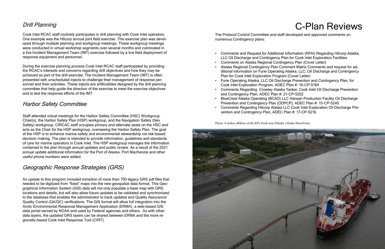#### Drill Planning

Cook Inlet RCAC staff routinely participates in drill planning with Cook Inlet operators. One example was the Hilcorp annual joint field exercise. This exercise plan was developed through multiple planning and workgroup meetings. These workgroup meetings were conducted in virtual workshop segments over several months and culminated in a live Incident Management Team (IMT) exercise followed by a live field deployment of response equipment and personnel.

During the exercise planning process Cook Inlet RCAC staff participated by providing the RCAC's interests and concerns regarding drill objectives and how they may be achieved as part of the drill exercise. The Incident Management Team (IMT) is often presented with unscheduled injects to challenge their management of response personnel and their activities. These injects are artificialities designed by the drill planning committee that help guide the direction of the exercise to meet the exercise objectives and to test the response efforts of the IMT.

#### Harbor Safety Committee

Staff attended virtual meetings for the Harbor Safety Committee (HSC) Workgroup Chair(s), the Harbor Safety Plan (HSP) workgroup, and the Navigation Safety (Nav Safety) workgroup. CIRCAC staff occupies primary and alternate seats on the HSC and acts as the Chair for the HSP workgroup, overseeing the Harbor Safety Plan. The goal of the HSP is to enhance marine safety and environmental stewardship via risk-based decision making. The plan is intended to provide information, guidelines and standards of care for marine operators in Cook Inlet. The HSP workgroup manages the information contained in the plan through annual updates and public review. As a result of the 2021 annual update additional information for the Port of Alaska, Port MacKenzie and other useful phone numbers were added.

#### Geographic Response Strategies (GRS)

An update to this program included transition of more than 700 legacy GRS pdf files that needed to be digitized from "fixed" maps into the new geospatial data format. This Geographical Information System (GIS) data will not only populate a base map with GRS locations and details, but will also allow future updates to be validated and synchronized to the database that enables the administrator to track updates and Quality Assurance/ Quality Control (QA/QC) verifications. The GIS format will allow full integration into the Arctic Environmental Response Management Application (ERMA), a web-based GIS data portal served by NOAA and used by Federal agencies and others. As with other data layers, the updated GRS layers can be shared between ERMA and the more regionally-based Cook Inlet Response Tool (CIRT).

• Comments and Request for Additional Information (RFAI) Regarding Hilcorp Alaska, LLC Oil Discharge and Contingency Plan for Cook Inlet Exploration Facilities • Alaska Regional Contingency Plan Comment Matrix Comments and request for additional information on Furie Operating Alaska, LLC, Oil Discharge and Contingency • Furie Operating Alaska, LLC Oil Discharge Prevention and Contingency Plan, for • Comments Regarding Crowley Alaska Tanker, Cook Inlet Oil Discharge Prevention • BlueCrest Alaska Operating (BCAO) LLC Hansen Production Facility Oil Discharge

- 
- Comments on Alaska Regional Contingency Plan (Cover Letter)
- Plan for Cook Inlet Exploration Program (Cover Letter)
- Cook Inlet Exploration Program, ADEC Plan #: 16-CP-5184
- and Contingency Plan, ADEC Plan #: 21-CP-5252
- Prevention and Contingency Plan (ODPCP), ADEC Plan #: 15-CP-5245
- Comments Regarding Hilcorp Alaska LLC Cook Inlet Exploration Oil Discharge Prevention and Contingency Plan, ADEC Plan #: 17-CP-5216

## C-Plan Reviews

Photo: A tanker offshore of the KPL Dock near Nikiski. (Alaska ShoreZone)



The Protocol Control Committee and staff developed and approved comments on numerous Contingency plans: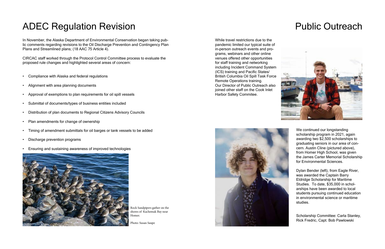## ADEC Regulation Revision

In November, the Alaska Department of Environmental Conservation began taking public comments regarding revisions to the Oil Discharge Prevention and Contingency Plan Plans and Streamlined plans; (18 AAC 75 Article 4).

CIRCAC staff worked through the Protocol Control Committee process to evaluate the proposed rule changes and highlighted several areas of concern:

- Compliance with Alaska and federal regulations
- Alignment with area planning documents
- Approval of exemptions to plan requirements for oil spill vessels
- Submittal of documents/types of business entities included
- Distribution of plan documents to Regional Citizens Advisory Councils
- Plan amendments for change of ownership
- Timing of amendment submittals for oil barges or tank vessels to be added
- Discharge prevention programs
- Ensuring and sustaining awareness of improved technologies



We continued our longstanding scholarship program in 2021, again awarding two \$2,500 scholarships to graduating seniors in our area of concern. Austin Cline (pictured above), from Homer High School, was given the James Carter Memorial Scholarship for Environmental Sciences.

While travel restrictions due to the pandemic limited our typical suite of in-person outreach events and programs, webinars and other online venues offered other opportunities for staff training and networking including Incident Command System (ICS) training and Pacific States/ British Columbia Oil Spill Task Force Remote Operations training. Our Director of Public Outreach also joined other staff on the Cook Inlet Harbor Safety Commitee.



## Public Outreach



Dylan Bender (left), from Eagle River, was awarded the Captain Barry Eldridge Scholarship for Maritime Studies. To date, \$35,000 in scholarships have been awarded to local students pursuing continued education in environmental science or maritime studies.

Scholarship Committee: Carla Stanley, Rick Fredric, Capt. Bob Pawlowski

Rock Sandpipers gather on the hores of Kachemak Bay near Homer.

Photo: Susan Saupe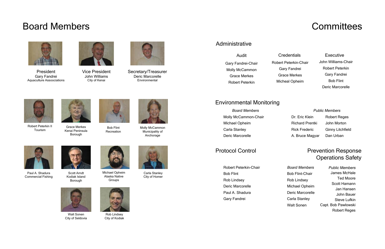### Board Members



President Gary Fandrei Aquaculture Assoociations



Vice President John Williams City of Kenai



art Peterkin in Fire Grace Merkes Finding Bob Flint Ferencial Molly McCammon<br>Tourism Fourism Municipality of Municipality of Anchorage



Robert Peterkin II



Secretary/Treasurer Deric Marcorelle **Environmental** 

Michael Opheim Alaska Native **Groups** 



Grace Merkes Borough

Rob Lindsey City of Kodiak

### **Committees**

redentials<sup>\*</sup>

rt Peterkin-Chair Gary Fandrei **irace Merkes** cheal Opheim



Bob Flint Recreation



Walt Sonen City of Seldovia



Paul A. Shadura Commercial Fishing



Carla Stanley City of Homer

Scott Arndt Kodiak Island

### Environmental Monitoring

#### Prevention Response Operations Safety

Public Members

Dr. Eric Klein Robert Reges Richard Prentki John Morton A. Bruce Magyar Dan Urban

Rick Frederic Ginny Litchfield

Board Members Molly McCammon-Chair Michael Opheim Carla Stanley Deric Marcorelle

> Public Members James McHale Ted Moore Scott Hamann Jan Hansen John Bauer Steve Lufkin Capt. Bob Pawlowski Robert Reges

Board Members Bob Flint-Chair Rob Lindsey Michael Opheim Deric Marcorelle Carla Stanley Walt Sonen

#### Protocol Control

Robert Peterkin-Chair Bob Flint Rob Lindsey Deric Marcorelle Paul A. Shadura Gary Fandrei

#### Administrative

John Williams-Chair Robert Peterkin Gary Fandrei Bob Flint Deric Marcorelle Executive

| Audit                  |       |
|------------------------|-------|
| Gary Fandrei-Chair     | Rober |
| Molly McCammon         | G     |
| Grace Merkes           | Gı    |
| <b>Robert Peterkin</b> |       |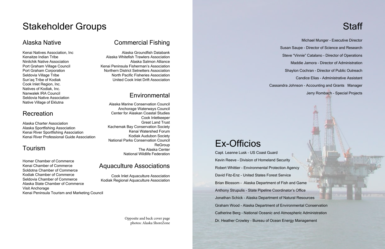### Stakeholder Groups

### Alaska Native

Kenai Natives Association, Inc Kenaitze Indian Tribe Ninilchik Native Association Port Graham Village Council Port Graham Corporation Seldovia Village Tribe Sun'aq Tribe of Kodiak Cook Inlet Region, Inc. Natives of Kodiak, Inc. Nanwalek IRA Council Seldovia Native Association Native Village of Eklutna

### Recreation

Alaska Charter Association Alaska Sportfishing Association Kenai River Sportfishing Association Kenai River Professional Guide Association

### Tourism

Homer Chamber of Commerce Kenai Chamber of Commerce Soldotna Chamber of Commerce Kodiak Chamber of Commerce Seldovia Chamber of Commerce Alaska State Chamber of Commerce Visit Anchorage Kenai Peninsula Tourism and Marketing Council

### Commercial Fishing

Alaska Groundfish Databank Alaska Whitefish Trawlers Association Alaska Salmon Alliance Kenai Peninsula Fisherman's Association Northern District Setnetters Association North Pacific Fisheries Association United Cook Inlet Drift Association

### Environmental

Alaska Marine Conservation Council Anchorage Waterways Council Center for Alaskan Coastal Studies Cook Inletkeeper Great Land Trust Kachemak Bay Conservation Society Kenai Watershed Forum Kodiak Audubon Society National Parks Conservation Council **ReGroup** The Alaska Center National Wildlife Federation

### Aquaculture Associations

Cook Inlet Aquaculture Association Kodiak Regional Aquaculture Association

Michael Munger - Executive Director Susan Saupe - Director of Science and Research Steve "Vinnie" Catalano - Director of Operations Maddie Jamora - Director of Administration Shaylon Cochran - Director of Public Outreach Candice Elias - Administrative Assistant Cassandra Johnson - Accounting and Grants Manager Jerry Rombach - Special Projects

Capt. Leanne Lusk - US Coast Guard Kevin Reeve - Division of Homeland Security Robert Whittier - Environmental Protection Agency David Fitz-Enz - United States Forest Service Brian Blossom - Alaska Department of Fish and Game Anthony Strupulis - State Pipeline Coordinator's Office Jonathan Schick - Alaska Department of Natural Resources Graham Wood - Alaska Department of Environmental Conservation Catherine Berg - National Oceanic and Atmospheric Administration Dr. Heather Crowley - Bureau of Ocean Energy Management

### **Staff**

## Ex-Officios

Opposite and back cover page photos: Alaska ShoreZone